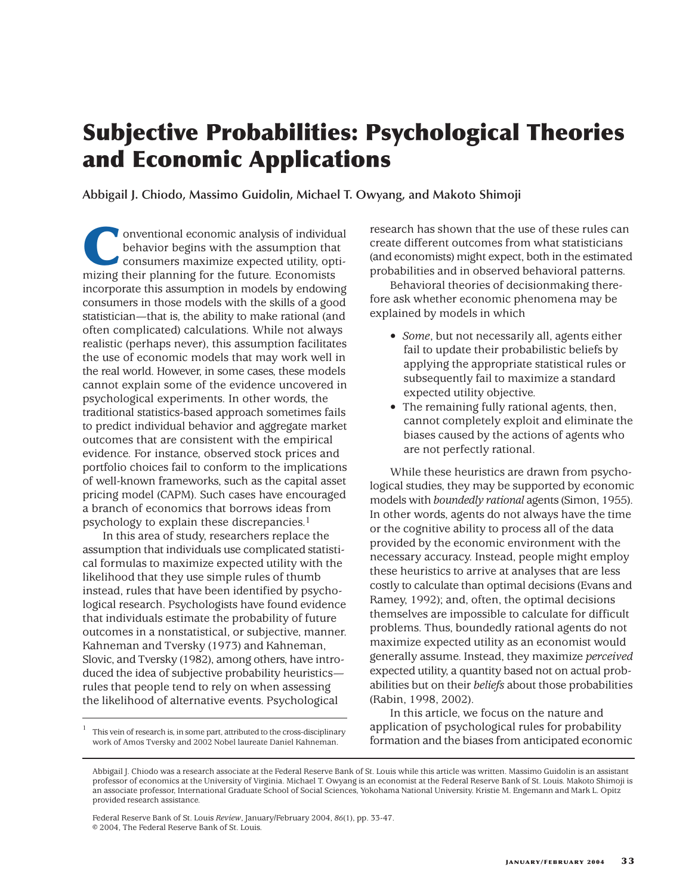# **Subjective Probabilities: Psychological Theories and Economic Applications**

**Abbigail J. Chiodo, Massimo Guidolin, Michael T. Owyang, and Makoto Shimoji**

**Conventional economic analysis of individual behavior begins with the assumption that consumers maximize expected utility, optimizing their planning for the future Economists** behavior begins with the assumption that consumers maximize expected utility, optimizing their planning for the future. Economists incorporate this assumption in models by endowing consumers in those models with the skills of a good statistician—that is, the ability to make rational (and often complicated) calculations. While not always realistic (perhaps never), this assumption facilitates the use of economic models that may work well in the real world. However, in some cases, these models cannot explain some of the evidence uncovered in psychological experiments. In other words, the traditional statistics-based approach sometimes fails to predict individual behavior and aggregate market outcomes that are consistent with the empirical evidence. For instance, observed stock prices and portfolio choices fail to conform to the implications of well-known frameworks, such as the capital asset pricing model (CAPM). Such cases have encouraged a branch of economics that borrows ideas from psychology to explain these discrepancies.1

In this area of study, researchers replace the assumption that individuals use complicated statistical formulas to maximize expected utility with the likelihood that they use simple rules of thumb instead, rules that have been identified by psychological research. Psychologists have found evidence that individuals estimate the probability of future outcomes in a nonstatistical, or subjective, manner. Kahneman and Tversky (1973) and Kahneman, Slovic, and Tversky (1982), among others, have introduced the idea of subjective probability heuristics rules that people tend to rely on when assessing the likelihood of alternative events. Psychological

<sup>1</sup> This vein of research is, in some part, attributed to the cross-disciplinary work of Amos Tversky and 2002 Nobel laureate Daniel Kahneman.

research has shown that the use of these rules can create different outcomes from what statisticians (and economists) might expect, both in the estimated probabilities and in observed behavioral patterns.

Behavioral theories of decisionmaking therefore ask whether economic phenomena may be explained by models in which

- *Some*, but not necessarily all, agents either fail to update their probabilistic beliefs by applying the appropriate statistical rules or subsequently fail to maximize a standard expected utility objective.
- The remaining fully rational agents, then, cannot completely exploit and eliminate the biases caused by the actions of agents who are not perfectly rational.

While these heuristics are drawn from psychological studies, they may be supported by economic models with *boundedly rational* agents (Simon, 1955). In other words, agents do not always have the time or the cognitive ability to process all of the data provided by the economic environment with the necessary accuracy. Instead, people might employ these heuristics to arrive at analyses that are less costly to calculate than optimal decisions (Evans and Ramey, 1992); and, often, the optimal decisions themselves are impossible to calculate for difficult problems. Thus, boundedly rational agents do not maximize expected utility as an economist would generally assume. Instead, they maximize *perceived* expected utility, a quantity based not on actual probabilities but on their *beliefs* about those probabilities (Rabin, 1998, 2002).

In this article, we focus on the nature and application of psychological rules for probability formation and the biases from anticipated economic

Federal Reserve Bank of St. Louis *Review*, January/February 2004, *86*(1), pp. 33-47. © 2004, The Federal Reserve Bank of St. Louis.

Abbigail J. Chiodo was a research associate at the Federal Reserve Bank of St. Louis while this article was written. Massimo Guidolin is an assistant professor of economics at the University of Virginia. Michael T. Owyang is an economist at the Federal Reserve Bank of St. Louis. Makoto Shimoji is an associate professor, International Graduate School of Social Sciences, Yokohama National University. Kristie M. Engemann and Mark L. Opitz provided research assistance.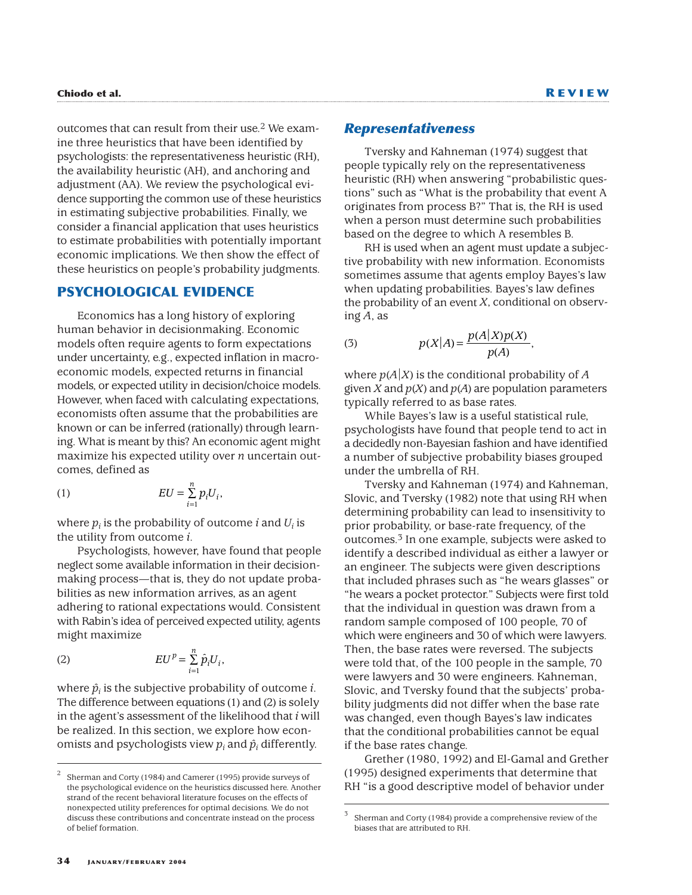outcomes that can result from their use.2 We examine three heuristics that have been identified by psychologists: the representativeness heuristic (RH), the availability heuristic (AH), and anchoring and adjustment (AA). We review the psychological evidence supporting the common use of these heuristics in estimating subjective probabilities. Finally, we consider a financial application that uses heuristics to estimate probabilities with potentially important economic implications. We then show the effect of these heuristics on people's probability judgments.

# **PSYCHOLOGICAL EVIDENCE**

Economics has a long history of exploring human behavior in decisionmaking. Economic models often require agents to form expectations under uncertainty, e.g., expected inflation in macroeconomic models, expected returns in financial models, or expected utility in decision/choice models. However, when faced with calculating expectations, economists often assume that the probabilities are known or can be inferred (rationally) through learning. What is meant by this? An economic agent might maximize his expected utility over *n* uncertain outcomes, defined as

$$
(1) \t EU = \sum_{i=1}^{n} p_i U_i,
$$

where  $p_i$  is the probability of outcome *i* and  $U_i$  is the utility from outcome *i*.

Psychologists, however, have found that people neglect some available information in their decisionmaking process—that is, they do not update probabilities as new information arrives, as an agent adhering to rational expectations would. Consistent with Rabin's idea of perceived expected utility, agents might maximize

$$
(2) \t EUp = \sum_{i=1}^{n} \hat{p}_i U_i,
$$

where  $\hat{p}_i$  is the subjective probability of outcome *i*. The difference between equations (1) and (2) is solely in the agent's assessment of the likelihood that *i* will be realized. In this section, we explore how economists and psychologists view  $p_i$  and  $\hat{p}_i$  differently.

### *Representativeness*

Tversky and Kahneman (1974) suggest that people typically rely on the representativeness heuristic (RH) when answering "probabilistic questions" such as "What is the probability that event A originates from process B?" That is, the RH is used when a person must determine such probabilities based on the degree to which A resembles B.

RH is used when an agent must update a subjective probability with new information. Economists sometimes assume that agents employ Bayes's law when updating probabilities. Bayes's law defines the probability of an event *X*, conditional on observing *A*, as

(3) 
$$
p(X|A) = \frac{p(A|X)p(X)}{p(A)},
$$

where  $p(A|X)$  is the conditional probability of *A* given *X* and  $p(X)$  and  $p(A)$  are population parameters typically referred to as base rates.

While Bayes's law is a useful statistical rule, psychologists have found that people tend to act in a decidedly non-Bayesian fashion and have identified a number of subjective probability biases grouped under the umbrella of RH.

Tversky and Kahneman (1974) and Kahneman, Slovic, and Tversky (1982) note that using RH when determining probability can lead to insensitivity to prior probability, or base-rate frequency, of the outcomes.3 In one example, subjects were asked to identify a described individual as either a lawyer or an engineer. The subjects were given descriptions that included phrases such as "he wears glasses" or "he wears a pocket protector." Subjects were first told that the individual in question was drawn from a random sample composed of 100 people, 70 of which were engineers and 30 of which were lawyers. Then, the base rates were reversed. The subjects were told that, of the 100 people in the sample, 70 were lawyers and 30 were engineers. Kahneman, Slovic, and Tversky found that the subjects' probability judgments did not differ when the base rate was changed, even though Bayes's law indicates that the conditional probabilities cannot be equal if the base rates change.

Grether (1980, 1992) and El-Gamal and Grether (1995) designed experiments that determine that RH "is a good descriptive model of behavior under

<sup>2</sup> Sherman and Corty (1984) and Camerer (1995) provide surveys of the psychological evidence on the heuristics discussed here. Another strand of the recent behavioral literature focuses on the effects of nonexpected utility preferences for optimal decisions. We do not discuss these contributions and concentrate instead on the process of belief formation.

<sup>3</sup> Sherman and Corty (1984) provide a comprehensive review of the biases that are attributed to RH.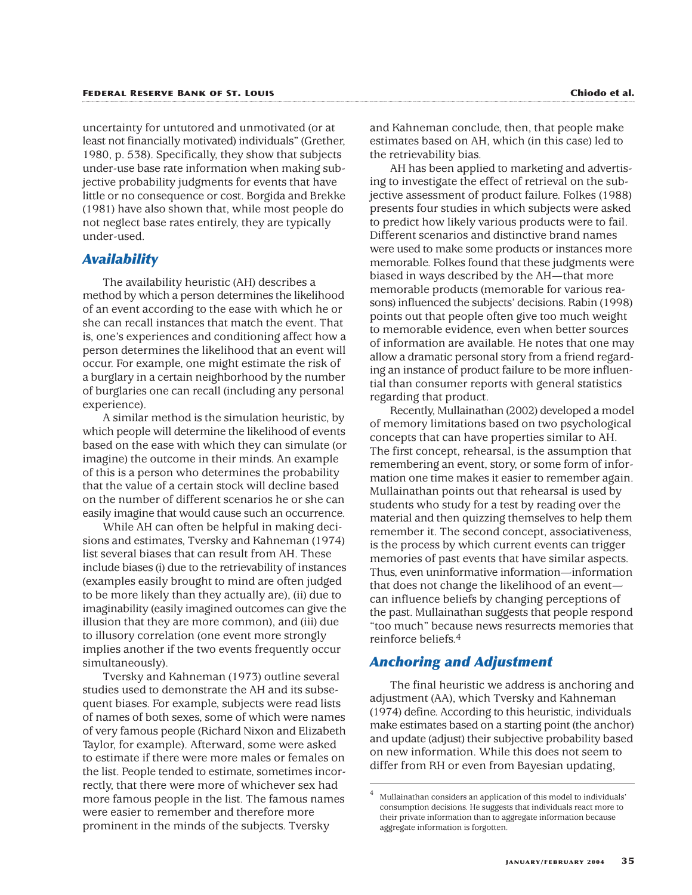uncertainty for untutored and unmotivated (or at least not financially motivated) individuals" (Grether, 1980, p. 538). Specifically, they show that subjects under-use base rate information when making subjective probability judgments for events that have little or no consequence or cost. Borgida and Brekke (1981) have also shown that, while most people do not neglect base rates entirely, they are typically under-used.

### *Availability*

The availability heuristic (AH) describes a method by which a person determines the likelihood of an event according to the ease with which he or she can recall instances that match the event. That is, one's experiences and conditioning affect how a person determines the likelihood that an event will occur. For example, one might estimate the risk of a burglary in a certain neighborhood by the number of burglaries one can recall (including any personal experience).

A similar method is the simulation heuristic, by which people will determine the likelihood of events based on the ease with which they can simulate (or imagine) the outcome in their minds. An example of this is a person who determines the probability that the value of a certain stock will decline based on the number of different scenarios he or she can easily imagine that would cause such an occurrence.

While AH can often be helpful in making decisions and estimates, Tversky and Kahneman (1974) list several biases that can result from AH. These include biases (i) due to the retrievability of instances (examples easily brought to mind are often judged to be more likely than they actually are), (ii) due to imaginability (easily imagined outcomes can give the illusion that they are more common), and (iii) due to illusory correlation (one event more strongly implies another if the two events frequently occur simultaneously).

Tversky and Kahneman (1973) outline several studies used to demonstrate the AH and its subsequent biases. For example, subjects were read lists of names of both sexes, some of which were names of very famous people (Richard Nixon and Elizabeth Taylor, for example). Afterward, some were asked to estimate if there were more males or females on the list. People tended to estimate, sometimes incorrectly, that there were more of whichever sex had more famous people in the list. The famous names were easier to remember and therefore more prominent in the minds of the subjects. Tversky

and Kahneman conclude, then, that people make estimates based on AH, which (in this case) led to the retrievability bias.

AH has been applied to marketing and advertising to investigate the effect of retrieval on the subjective assessment of product failure. Folkes (1988) presents four studies in which subjects were asked to predict how likely various products were to fail. Different scenarios and distinctive brand names were used to make some products or instances more memorable. Folkes found that these judgments were biased in ways described by the AH—that more memorable products (memorable for various reasons) influenced the subjects' decisions. Rabin (1998) points out that people often give too much weight to memorable evidence, even when better sources of information are available. He notes that one may allow a dramatic personal story from a friend regarding an instance of product failure to be more influential than consumer reports with general statistics regarding that product.

Recently, Mullainathan (2002) developed a model of memory limitations based on two psychological concepts that can have properties similar to AH. The first concept, rehearsal, is the assumption that remembering an event, story, or some form of information one time makes it easier to remember again. Mullainathan points out that rehearsal is used by students who study for a test by reading over the material and then quizzing themselves to help them remember it. The second concept, associativeness, is the process by which current events can trigger memories of past events that have similar aspects. Thus, even uninformative information—information that does not change the likelihood of an event can influence beliefs by changing perceptions of the past. Mullainathan suggests that people respond "too much" because news resurrects memories that reinforce beliefs.4

# *Anchoring and Adjustment*

The final heuristic we address is anchoring and adjustment (AA), which Tversky and Kahneman (1974) define. According to this heuristic, individuals make estimates based on a starting point (the anchor) and update (adjust) their subjective probability based on new information. While this does not seem to differ from RH or even from Bayesian updating,

<sup>4</sup> Mullainathan considers an application of this model to individuals' consumption decisions. He suggests that individuals react more to their private information than to aggregate information because aggregate information is forgotten.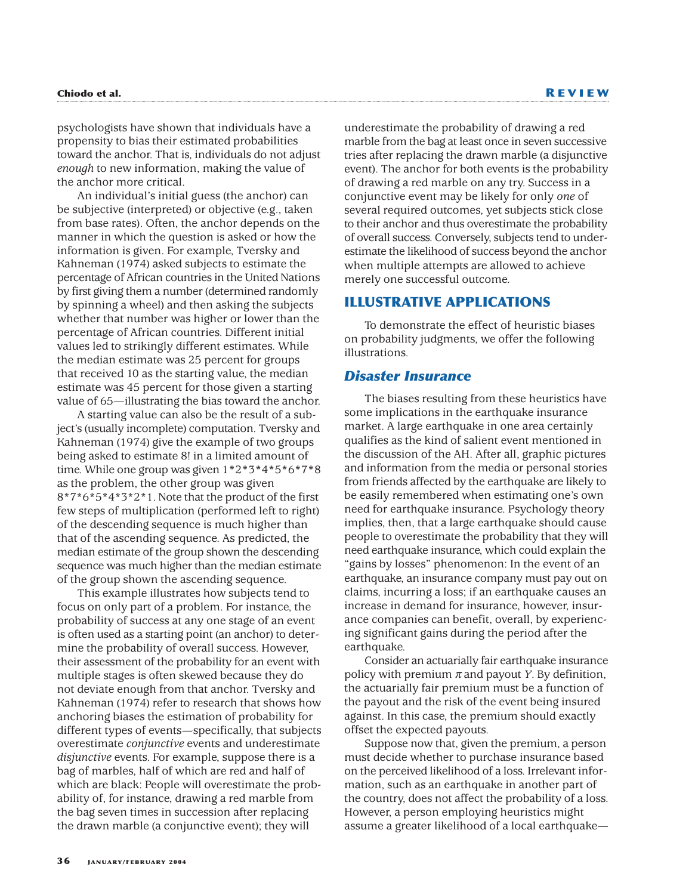psychologists have shown that individuals have a propensity to bias their estimated probabilities toward the anchor. That is, individuals do not adjust *enough* to new information, making the value of the anchor more critical.

An individual's initial guess (the anchor) can be subjective (interpreted) or objective (e.g., taken from base rates). Often, the anchor depends on the manner in which the question is asked or how the information is given. For example, Tversky and Kahneman (1974) asked subjects to estimate the percentage of African countries in the United Nations by first giving them a number (determined randomly by spinning a wheel) and then asking the subjects whether that number was higher or lower than the percentage of African countries. Different initial values led to strikingly different estimates. While the median estimate was 25 percent for groups that received 10 as the starting value, the median estimate was 45 percent for those given a starting value of 65—illustrating the bias toward the anchor.

A starting value can also be the result of a subject's (usually incomplete) computation. Tversky and Kahneman (1974) give the example of two groups being asked to estimate 8! in a limited amount of time. While one group was given 1\*2\*3\*4\*5\*6\*7\*8 as the problem, the other group was given 8\*7\*6\*5\*4\*3\*2\*1. Note that the product of the first few steps of multiplication (performed left to right) of the descending sequence is much higher than that of the ascending sequence. As predicted, the median estimate of the group shown the descending sequence was much higher than the median estimate of the group shown the ascending sequence.

This example illustrates how subjects tend to focus on only part of a problem. For instance, the probability of success at any one stage of an event is often used as a starting point (an anchor) to determine the probability of overall success. However, their assessment of the probability for an event with multiple stages is often skewed because they do not deviate enough from that anchor. Tversky and Kahneman (1974) refer to research that shows how anchoring biases the estimation of probability for different types of events—specifically, that subjects overestimate *conjunctive* events and underestimate *disjunctive* events. For example, suppose there is a bag of marbles, half of which are red and half of which are black: People will overestimate the probability of, for instance, drawing a red marble from the bag seven times in succession after replacing the drawn marble (a conjunctive event); they will

underestimate the probability of drawing a red marble from the bag at least once in seven successive tries after replacing the drawn marble (a disjunctive event). The anchor for both events is the probability of drawing a red marble on any try. Success in a conjunctive event may be likely for only *one* of several required outcomes, yet subjects stick close to their anchor and thus overestimate the probability of overall success. Conversely, subjects tend to underestimate the likelihood of success beyond the anchor when multiple attempts are allowed to achieve merely one successful outcome.

# **ILLUSTRATIVE APPLICATIONS**

To demonstrate the effect of heuristic biases on probability judgments, we offer the following illustrations.

### *Disaster Insurance*

The biases resulting from these heuristics have some implications in the earthquake insurance market. A large earthquake in one area certainly qualifies as the kind of salient event mentioned in the discussion of the AH. After all, graphic pictures and information from the media or personal stories from friends affected by the earthquake are likely to be easily remembered when estimating one's own need for earthquake insurance. Psychology theory implies, then, that a large earthquake should cause people to overestimate the probability that they will need earthquake insurance, which could explain the "gains by losses" phenomenon: In the event of an earthquake, an insurance company must pay out on claims, incurring a loss; if an earthquake causes an increase in demand for insurance, however, insurance companies can benefit, overall, by experiencing significant gains during the period after the earthquake.

Consider an actuarially fair earthquake insurance policy with premium  $\pi$  and payout *Y*. By definition, the actuarially fair premium must be a function of the payout and the risk of the event being insured against. In this case, the premium should exactly offset the expected payouts.

Suppose now that, given the premium, a person must decide whether to purchase insurance based on the perceived likelihood of a loss. Irrelevant information, such as an earthquake in another part of the country, does not affect the probability of a loss. However, a person employing heuristics might assume a greater likelihood of a local earthquake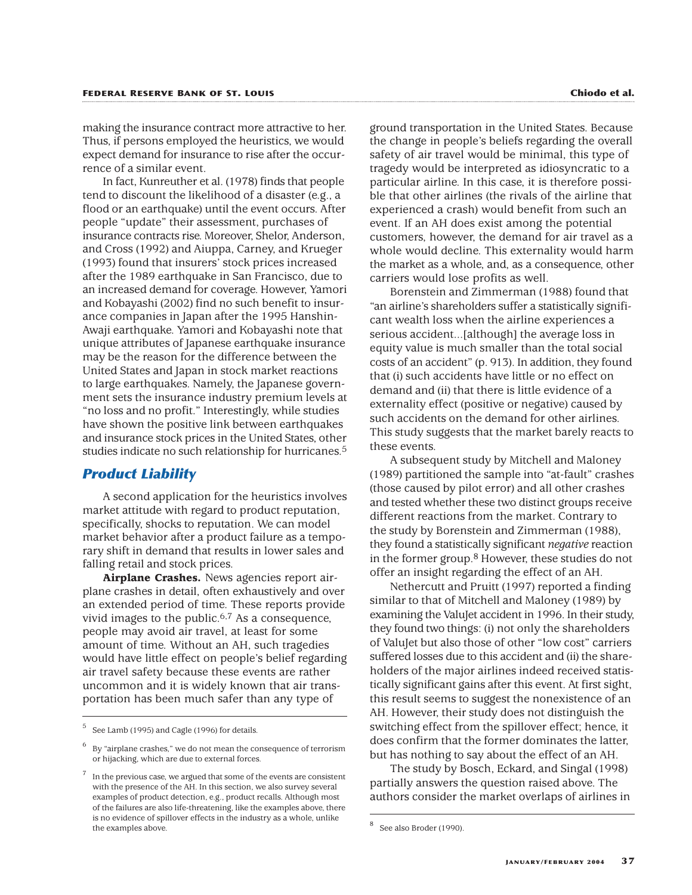making the insurance contract more attractive to her. Thus, if persons employed the heuristics, we would expect demand for insurance to rise after the occurrence of a similar event.

In fact, Kunreuther et al. (1978) finds that people tend to discount the likelihood of a disaster (e.g., a flood or an earthquake) until the event occurs. After people "update" their assessment, purchases of insurance contracts rise. Moreover, Shelor, Anderson, and Cross (1992) and Aiuppa, Carney, and Krueger (1993) found that insurers' stock prices increased after the 1989 earthquake in San Francisco, due to an increased demand for coverage. However, Yamori and Kobayashi (2002) find no such benefit to insurance companies in Japan after the 1995 Hanshin-Awaji earthquake. Yamori and Kobayashi note that unique attributes of Japanese earthquake insurance may be the reason for the difference between the United States and Japan in stock market reactions to large earthquakes. Namely, the Japanese government sets the insurance industry premium levels at "no loss and no profit." Interestingly, while studies have shown the positive link between earthquakes and insurance stock prices in the United States, other studies indicate no such relationship for hurricanes.5

### *Product Liability*

A second application for the heuristics involves market attitude with regard to product reputation, specifically, shocks to reputation. We can model market behavior after a product failure as a temporary shift in demand that results in lower sales and falling retail and stock prices.

**Airplane Crashes.** News agencies report airplane crashes in detail, often exhaustively and over an extended period of time. These reports provide vivid images to the public.<sup>6,7</sup> As a consequence, people may avoid air travel, at least for some amount of time. Without an AH, such tragedies would have little effect on people's belief regarding air travel safety because these events are rather uncommon and it is widely known that air transportation has been much safer than any type of

ground transportation in the United States. Because the change in people's beliefs regarding the overall safety of air travel would be minimal, this type of tragedy would be interpreted as idiosyncratic to a particular airline. In this case, it is therefore possible that other airlines (the rivals of the airline that experienced a crash) would benefit from such an event. If an AH does exist among the potential customers, however, the demand for air travel as a whole would decline. This externality would harm the market as a whole, and, as a consequence, other carriers would lose profits as well.

Borenstein and Zimmerman (1988) found that "an airline's shareholders suffer a statistically significant wealth loss when the airline experiences a serious accident...[although] the average loss in equity value is much smaller than the total social costs of an accident" (p. 913). In addition, they found that (i) such accidents have little or no effect on demand and (ii) that there is little evidence of a externality effect (positive or negative) caused by such accidents on the demand for other airlines. This study suggests that the market barely reacts to these events.

A subsequent study by Mitchell and Maloney (1989) partitioned the sample into "at-fault" crashes (those caused by pilot error) and all other crashes and tested whether these two distinct groups receive different reactions from the market. Contrary to the study by Borenstein and Zimmerman (1988), they found a statistically significant *negative* reaction in the former group.8 However, these studies do not offer an insight regarding the effect of an AH.

Nethercutt and Pruitt (1997) reported a finding similar to that of Mitchell and Maloney (1989) by examining the ValuJet accident in 1996. In their study, they found two things: (i) not only the shareholders of ValuJet but also those of other "low cost" carriers suffered losses due to this accident and (ii) the shareholders of the major airlines indeed received statistically significant gains after this event. At first sight, this result seems to suggest the nonexistence of an AH. However, their study does not distinguish the switching effect from the spillover effect; hence, it does confirm that the former dominates the latter, but has nothing to say about the effect of an AH.

The study by Bosch, Eckard, and Singal (1998) partially answers the question raised above. The authors consider the market overlaps of airlines in

 $5$  See Lamb (1995) and Cagle (1996) for details.

 $6\,$  By "airplane crashes," we do not mean the consequence of terrorism or hijacking, which are due to external forces.

In the previous case, we argued that some of the events are consistent with the presence of the AH. In this section, we also survey several examples of product detection, e.g., product recalls. Although most of the failures are also life-threatening, like the examples above, there is no evidence of spillover effects in the industry as a whole, unlike the examples above.

<sup>8</sup> See also Broder (1990).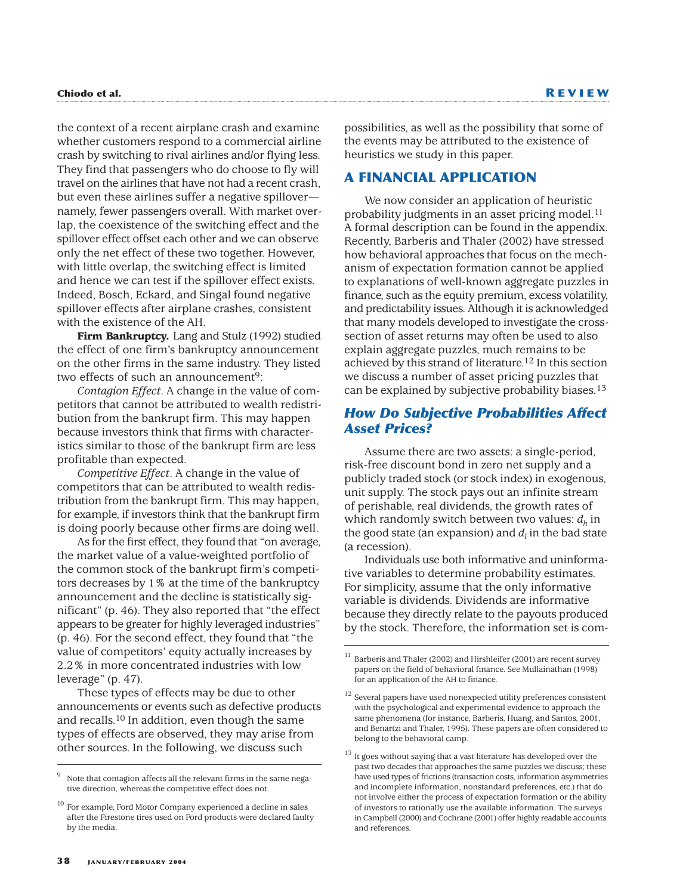the context of a recent airplane crash and examine whether customers respond to a commercial airline crash by switching to rival airlines and/or flying less. They find that passengers who do choose to fly will travel on the airlines that have not had a recent crash, but even these airlines suffer a negative spillover namely, fewer passengers overall. With market overlap, the coexistence of the switching effect and the spillover effect offset each other and we can observe only the net effect of these two together. However, with little overlap, the switching effect is limited and hence we can test if the spillover effect exists. Indeed, Bosch, Eckard, and Singal found negative spillover effects after airplane crashes, consistent with the existence of the AH.

**Firm Bankruptcy.** Lang and Stulz (1992) studied the effect of one firm's bankruptcy announcement on the other firms in the same industry. They listed two effects of such an announcement<sup>9</sup>:

*Contagion Effect*. A change in the value of competitors that cannot be attributed to wealth redistribution from the bankrupt firm. This may happen because investors think that firms with characteristics similar to those of the bankrupt firm are less profitable than expected.

*Competitive Effect*. A change in the value of competitors that can be attributed to wealth redistribution from the bankrupt firm. This may happen, for example, if investors think that the bankrupt firm is doing poorly because other firms are doing well.

As for the first effect, they found that "on average, the market value of a value-weighted portfolio of the common stock of the bankrupt firm's competitors decreases by 1% at the time of the bankruptcy announcement and the decline is statistically significant" (p. 46). They also reported that "the effect appears to be greater for highly leveraged industries" (p. 46). For the second effect, they found that "the value of competitors' equity actually increases by 2.2% in more concentrated industries with low leverage" (p. 47).

These types of effects may be due to other announcements or events such as defective products and recalls.10 In addition, even though the same types of effects are observed, they may arise from other sources. In the following, we discuss such

possibilities, as well as the possibility that some of the events may be attributed to the existence of heuristics we study in this paper.

# **A FINANCIAL APPLICATION**

We now consider an application of heuristic probability judgments in an asset pricing model.<sup>11</sup> A formal description can be found in the appendix. Recently, Barberis and Thaler (2002) have stressed how behavioral approaches that focus on the mechanism of expectation formation cannot be applied to explanations of well-known aggregate puzzles in finance, such as the equity premium, excess volatility, and predictability issues. Although it is acknowledged that many models developed to investigate the crosssection of asset returns may often be used to also explain aggregate puzzles, much remains to be achieved by this strand of literature.12 In this section we discuss a number of asset pricing puzzles that can be explained by subjective probability biases.13

# *How Do Subjective Probabilities Affect Asset Prices?*

Assume there are two assets: a single-period, risk-free discount bond in zero net supply and a publicly traded stock (or stock index) in exogenous, unit supply. The stock pays out an infinite stream of perishable, real dividends, the growth rates of which randomly switch between two values:  $d_h$  in the good state (an expansion) and  $d_i$  in the bad state (a recession).

Individuals use both informative and uninformative variables to determine probability estimates. For simplicity, assume that the only informative variable is dividends. Dividends are informative because they directly relate to the payouts produced by the stock. Therefore, the information set is com-

Note that contagion affects all the relevant firms in the same negative direction, whereas the competitive effect does not.

<sup>&</sup>lt;sup>10</sup> For example, Ford Motor Company experienced a decline in sales after the Firestone tires used on Ford products were declared faulty by the media.

Barberis and Thaler (2002) and Hirshleifer (2001) are recent survey papers on the field of behavioral finance. See Mullainathan (1998) for an application of the AH to finance.

 $^{12}$  Several papers have used nonexpected utility preferences consistent with the psychological and experimental evidence to approach the same phenomena (for instance, Barberis, Huang, and Santos, 2001, and Benartzi and Thaler, 1995). These papers are often considered to belong to the behavioral camp.

 $13$  It goes without saying that a vast literature has developed over the past two decades that approaches the same puzzles we discuss; these have used types of frictions (transaction costs, information asymmetries and incomplete information, nonstandard preferences, etc.) that do not involve either the process of expectation formation or the ability of investors to rationally use the available information. The surveys in Campbell (2000) and Cochrane (2001) offer highly readable accounts and references.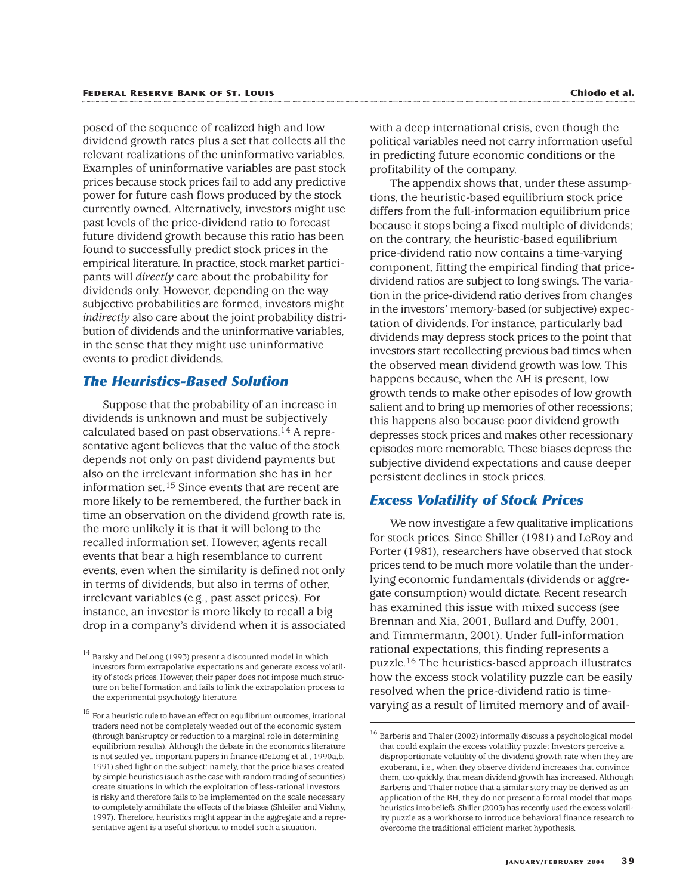posed of the sequence of realized high and low dividend growth rates plus a set that collects all the relevant realizations of the uninformative variables. Examples of uninformative variables are past stock prices because stock prices fail to add any predictive power for future cash flows produced by the stock currently owned. Alternatively, investors might use past levels of the price-dividend ratio to forecast future dividend growth because this ratio has been found to successfully predict stock prices in the empirical literature. In practice, stock market participants will *directly* care about the probability for dividends only. However, depending on the way subjective probabilities are formed, investors might *indirectly* also care about the joint probability distribution of dividends and the uninformative variables, in the sense that they might use uninformative events to predict dividends.

### *The Heuristics-Based Solution*

Suppose that the probability of an increase in dividends is unknown and must be subjectively calculated based on past observations.14 A representative agent believes that the value of the stock depends not only on past dividend payments but also on the irrelevant information she has in her information set.15 Since events that are recent are more likely to be remembered, the further back in time an observation on the dividend growth rate is, the more unlikely it is that it will belong to the recalled information set. However, agents recall events that bear a high resemblance to current events, even when the similarity is defined not only in terms of dividends, but also in terms of other, irrelevant variables (e.g., past asset prices). For instance, an investor is more likely to recall a big drop in a company's dividend when it is associated

with a deep international crisis, even though the political variables need not carry information useful in predicting future economic conditions or the profitability of the company.

The appendix shows that, under these assumptions, the heuristic-based equilibrium stock price differs from the full-information equilibrium price because it stops being a fixed multiple of dividends; on the contrary, the heuristic-based equilibrium price-dividend ratio now contains a time-varying component, fitting the empirical finding that pricedividend ratios are subject to long swings. The variation in the price-dividend ratio derives from changes in the investors' memory-based (or subjective) expectation of dividends. For instance, particularly bad dividends may depress stock prices to the point that investors start recollecting previous bad times when the observed mean dividend growth was low. This happens because, when the AH is present, low growth tends to make other episodes of low growth salient and to bring up memories of other recessions; this happens also because poor dividend growth depresses stock prices and makes other recessionary episodes more memorable. These biases depress the subjective dividend expectations and cause deeper persistent declines in stock prices.

# *Excess Volatility of Stock Prices*

We now investigate a few qualitative implications for stock prices. Since Shiller (1981) and LeRoy and Porter (1981), researchers have observed that stock prices tend to be much more volatile than the underlying economic fundamentals (dividends or aggregate consumption) would dictate. Recent research has examined this issue with mixed success (see Brennan and Xia, 2001, Bullard and Duffy, 2001, and Timmermann, 2001). Under full-information rational expectations, this finding represents a puzzle.16 The heuristics-based approach illustrates how the excess stock volatility puzzle can be easily resolved when the price-dividend ratio is timevarying as a result of limited memory and of avail-

 $^{14}$  Barsky and DeLong (1993) present a discounted model in which investors form extrapolative expectations and generate excess volatility of stock prices. However, their paper does not impose much structure on belief formation and fails to link the extrapolation process to the experimental psychology literature.

 $^{15}$  For a heuristic rule to have an effect on equilibrium outcomes, irrational traders need not be completely weeded out of the economic system (through bankruptcy or reduction to a marginal role in determining equilibrium results). Although the debate in the economics literature is not settled yet, important papers in finance (DeLong et al., 1990a,b, 1991) shed light on the subject: namely, that the price biases created by simple heuristics (such as the case with random trading of securities) create situations in which the exploitation of less-rational investors is risky and therefore fails to be implemented on the scale necessary to completely annihilate the effects of the biases (Shleifer and Vishny, 1997). Therefore, heuristics might appear in the aggregate and a representative agent is a useful shortcut to model such a situation.

 $^{16}$  Barberis and Thaler (2002) informally discuss a psychological model that could explain the excess volatility puzzle: Investors perceive a disproportionate volatility of the dividend growth rate when they are exuberant, i.e., when they observe dividend increases that convince them, too quickly, that mean dividend growth has increased. Although Barberis and Thaler notice that a similar story may be derived as an application of the RH, they do not present a formal model that maps heuristics into beliefs. Shiller (2003) has recently used the excess volatility puzzle as a workhorse to introduce behavioral finance research to overcome the traditional efficient market hypothesis.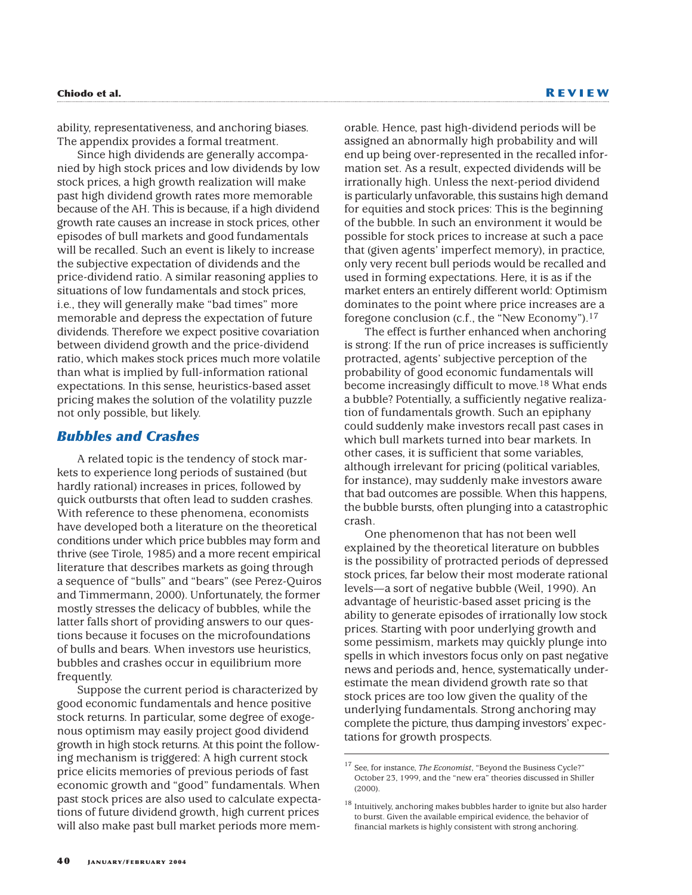ability, representativeness, and anchoring biases. The appendix provides a formal treatment.

Since high dividends are generally accompanied by high stock prices and low dividends by low stock prices, a high growth realization will make past high dividend growth rates more memorable because of the AH. This is because, if a high dividend growth rate causes an increase in stock prices, other episodes of bull markets and good fundamentals will be recalled. Such an event is likely to increase the subjective expectation of dividends and the price-dividend ratio. A similar reasoning applies to situations of low fundamentals and stock prices, i.e., they will generally make "bad times" more memorable and depress the expectation of future dividends. Therefore we expect positive covariation between dividend growth and the price-dividend ratio, which makes stock prices much more volatile than what is implied by full-information rational expectations. In this sense, heuristics-based asset pricing makes the solution of the volatility puzzle not only possible, but likely.

### *Bubbles and Crashes*

A related topic is the tendency of stock markets to experience long periods of sustained (but hardly rational) increases in prices, followed by quick outbursts that often lead to sudden crashes. With reference to these phenomena, economists have developed both a literature on the theoretical conditions under which price bubbles may form and thrive (see Tirole, 1985) and a more recent empirical literature that describes markets as going through a sequence of "bulls" and "bears" (see Perez-Quiros and Timmermann, 2000). Unfortunately, the former mostly stresses the delicacy of bubbles, while the latter falls short of providing answers to our questions because it focuses on the microfoundations of bulls and bears. When investors use heuristics, bubbles and crashes occur in equilibrium more frequently.

Suppose the current period is characterized by good economic fundamentals and hence positive stock returns. In particular, some degree of exogenous optimism may easily project good dividend growth in high stock returns. At this point the following mechanism is triggered: A high current stock price elicits memories of previous periods of fast economic growth and "good" fundamentals. When past stock prices are also used to calculate expectations of future dividend growth, high current prices will also make past bull market periods more memorable. Hence, past high-dividend periods will be assigned an abnormally high probability and will end up being over-represented in the recalled information set. As a result, expected dividends will be irrationally high. Unless the next-period dividend is particularly unfavorable, this sustains high demand for equities and stock prices: This is the beginning of the bubble. In such an environment it would be possible for stock prices to increase at such a pace that (given agents' imperfect memory), in practice, only very recent bull periods would be recalled and used in forming expectations. Here, it is as if the market enters an entirely different world: Optimism dominates to the point where price increases are a foregone conclusion (c.f., the "New Economy").17

The effect is further enhanced when anchoring is strong: If the run of price increases is sufficiently protracted, agents' subjective perception of the probability of good economic fundamentals will become increasingly difficult to move.<sup>18</sup> What ends a bubble? Potentially, a sufficiently negative realization of fundamentals growth. Such an epiphany could suddenly make investors recall past cases in which bull markets turned into bear markets. In other cases, it is sufficient that some variables, although irrelevant for pricing (political variables, for instance), may suddenly make investors aware that bad outcomes are possible. When this happens, the bubble bursts, often plunging into a catastrophic crash.

One phenomenon that has not been well explained by the theoretical literature on bubbles is the possibility of protracted periods of depressed stock prices, far below their most moderate rational levels—a sort of negative bubble (Weil, 1990). An advantage of heuristic-based asset pricing is the ability to generate episodes of irrationally low stock prices. Starting with poor underlying growth and some pessimism, markets may quickly plunge into spells in which investors focus only on past negative news and periods and, hence, systematically underestimate the mean dividend growth rate so that stock prices are too low given the quality of the underlying fundamentals. Strong anchoring may complete the picture, thus damping investors' expectations for growth prospects.

<sup>17</sup> See, for instance, *The Economist*, "Beyond the Business Cycle?" October 23, 1999, and the "new era" theories discussed in Shiller (2000).

 $^{18}$  Intuitively, anchoring makes bubbles harder to ignite but also harder to burst. Given the available empirical evidence, the behavior of financial markets is highly consistent with strong anchoring.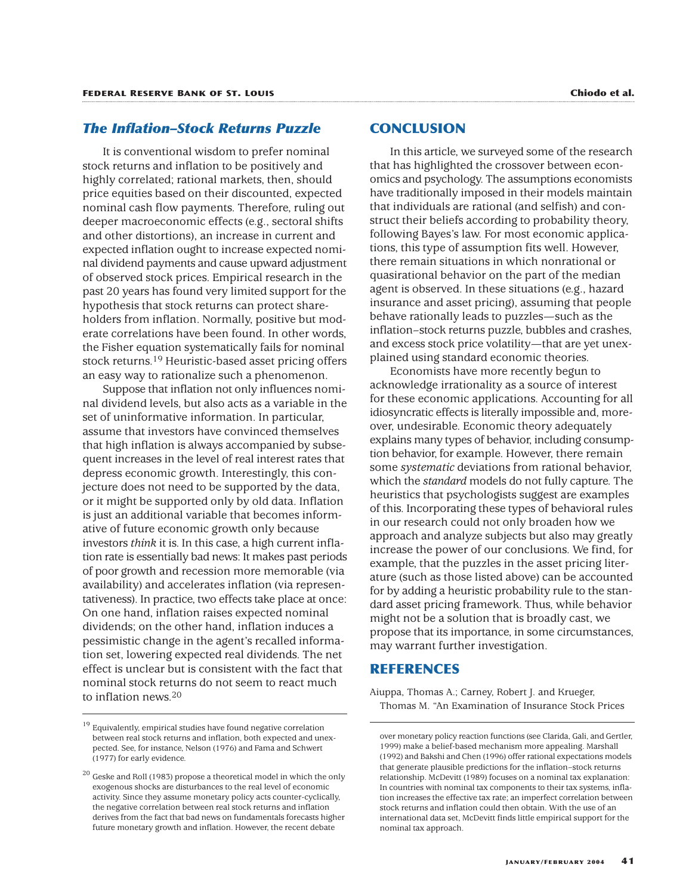# *The Inflation–Stock Returns Puzzle*

It is conventional wisdom to prefer nominal stock returns and inflation to be positively and highly correlated; rational markets, then, should price equities based on their discounted, expected nominal cash flow payments. Therefore, ruling out deeper macroeconomic effects (e.g., sectoral shifts and other distortions), an increase in current and expected inflation ought to increase expected nominal dividend payments and cause upward adjustment of observed stock prices. Empirical research in the past 20 years has found very limited support for the hypothesis that stock returns can protect shareholders from inflation. Normally, positive but moderate correlations have been found. In other words, the Fisher equation systematically fails for nominal stock returns.19 Heuristic-based asset pricing offers an easy way to rationalize such a phenomenon.

Suppose that inflation not only influences nominal dividend levels, but also acts as a variable in the set of uninformative information. In particular, assume that investors have convinced themselves that high inflation is always accompanied by subsequent increases in the level of real interest rates that depress economic growth. Interestingly, this conjecture does not need to be supported by the data, or it might be supported only by old data. Inflation is just an additional variable that becomes informative of future economic growth only because investors *think* it is. In this case, a high current inflation rate is essentially bad news: It makes past periods of poor growth and recession more memorable (via availability) and accelerates inflation (via representativeness). In practice, two effects take place at once: On one hand, inflation raises expected nominal dividends; on the other hand, inflation induces a pessimistic change in the agent's recalled information set, lowering expected real dividends. The net effect is unclear but is consistent with the fact that nominal stock returns do not seem to react much to inflation news.20

# **CONCLUSION**

In this article, we surveyed some of the research that has highlighted the crossover between economics and psychology. The assumptions economists have traditionally imposed in their models maintain that individuals are rational (and selfish) and construct their beliefs according to probability theory, following Bayes's law. For most economic applications, this type of assumption fits well. However, there remain situations in which nonrational or quasirational behavior on the part of the median agent is observed. In these situations (e.g., hazard insurance and asset pricing), assuming that people behave rationally leads to puzzles—such as the inflation–stock returns puzzle, bubbles and crashes, and excess stock price volatility—that are yet unexplained using standard economic theories.

Economists have more recently begun to acknowledge irrationality as a source of interest for these economic applications. Accounting for all idiosyncratic effects is literally impossible and, moreover, undesirable. Economic theory adequately explains many types of behavior, including consumption behavior, for example. However, there remain some *systematic* deviations from rational behavior, which the *standard* models do not fully capture. The heuristics that psychologists suggest are examples of this. Incorporating these types of behavioral rules in our research could not only broaden how we approach and analyze subjects but also may greatly increase the power of our conclusions. We find, for example, that the puzzles in the asset pricing literature (such as those listed above) can be accounted for by adding a heuristic probability rule to the standard asset pricing framework. Thus, while behavior might not be a solution that is broadly cast, we propose that its importance, in some circumstances, may warrant further investigation.

### **REFERENCES**

Aiuppa, Thomas A.; Carney, Robert J. and Krueger, Thomas M. "An Examination of Insurance Stock Prices

 $^{19}$  Equivalently, empirical studies have found negative correlation between real stock returns and inflation, both expected and unexpected. See, for instance, Nelson (1976) and Fama and Schwert (1977) for early evidence.

 $^{20}$  Geske and Roll (1983) propose a theoretical model in which the only exogenous shocks are disturbances to the real level of economic activity. Since they assume monetary policy acts counter-cyclically, the negative correlation between real stock returns and inflation derives from the fact that bad news on fundamentals forecasts higher future monetary growth and inflation. However, the recent debate

over monetary policy reaction functions (see Clarida, Gali, and Gertler, 1999) make a belief-based mechanism more appealing. Marshall (1992) and Bakshi and Chen (1996) offer rational expectations models that generate plausible predictions for the inflation–stock returns relationship. McDevitt (1989) focuses on a nominal tax explanation: In countries with nominal tax components to their tax systems, inflation increases the effective tax rate; an imperfect correlation between stock returns and inflation could then obtain. With the use of an international data set, McDevitt finds little empirical support for the nominal tax approach.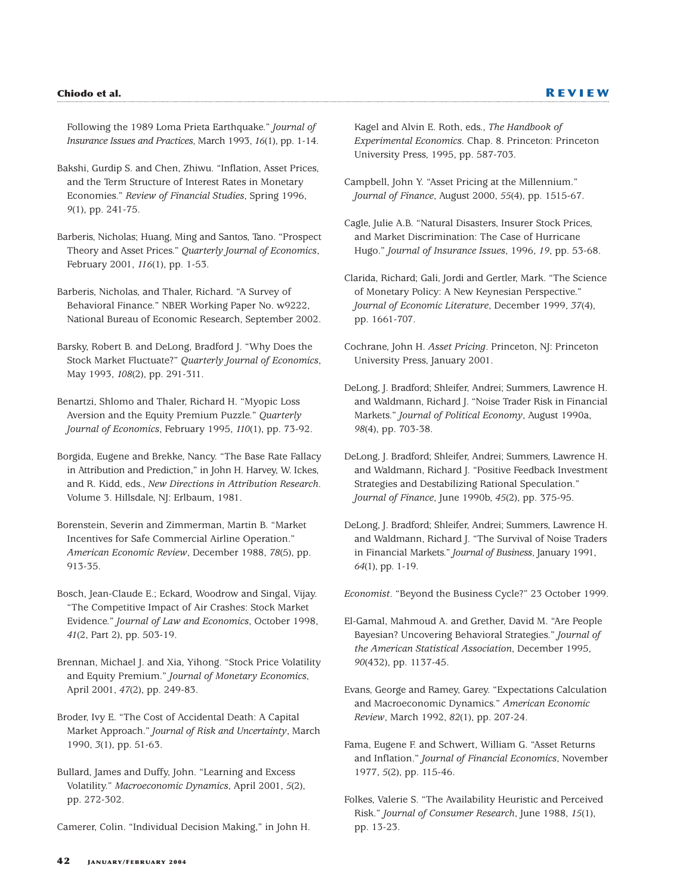Following the 1989 Loma Prieta Earthquake." *Journal of Insurance Issues and Practices*, March 1993, *16*(1), pp. 1-14.

- Bakshi, Gurdip S. and Chen, Zhiwu. "Inflation, Asset Prices, and the Term Structure of Interest Rates in Monetary Economies." *Review of Financial Studies*, Spring 1996, *9*(1), pp. 241-75.
- Barberis, Nicholas; Huang, Ming and Santos, Tano. "Prospect Theory and Asset Prices." *Quarterly Journal of Economics*, February 2001, *116*(1), pp. 1-53.
- Barberis, Nicholas, and Thaler, Richard. "A Survey of Behavioral Finance." NBER Working Paper No. w9222, National Bureau of Economic Research, September 2002.
- Barsky, Robert B. and DeLong, Bradford J. "Why Does the Stock Market Fluctuate?" *Quarterly Journal of Economics*, May 1993, *108*(2), pp. 291-311.
- Benartzi, Shlomo and Thaler, Richard H. "Myopic Loss Aversion and the Equity Premium Puzzle." *Quarterly Journal of Economics*, February 1995, *110*(1), pp. 73-92.
- Borgida, Eugene and Brekke, Nancy. "The Base Rate Fallacy in Attribution and Prediction," in John H. Harvey, W. Ickes, and R. Kidd, eds., *New Directions in Attribution Research*. Volume 3. Hillsdale, NJ: Erlbaum, 1981.
- Borenstein, Severin and Zimmerman, Martin B. "Market Incentives for Safe Commercial Airline Operation." *American Economic Review*, December 1988, *78*(5), pp. 913-35.
- Bosch, Jean-Claude E.; Eckard, Woodrow and Singal, Vijay. "The Competitive Impact of Air Crashes: Stock Market Evidence." *Journal of Law and Economics*, October 1998, *41*(2, Part 2), pp. 503-19.
- Brennan, Michael J. and Xia, Yihong. "Stock Price Volatility and Equity Premium." *Journal of Monetary Economics*, April 2001, *47*(2), pp. 249-83.
- Broder, Ivy E. "The Cost of Accidental Death: A Capital Market Approach." *Journal of Risk and Uncertainty*, March 1990, *3*(1), pp. 51-63.
- Bullard, James and Duffy, John. "Learning and Excess Volatility." *Macroeconomic Dynamics*, April 2001, *5*(2), pp. 272-302.

Camerer, Colin. "Individual Decision Making," in John H.

Kagel and Alvin E. Roth, eds., *The Handbook of Experimental Economics*. Chap. 8. Princeton: Princeton University Press, 1995, pp. 587-703.

- Campbell, John Y. "Asset Pricing at the Millennium." *Journal of Finance*, August 2000, *55*(4), pp. 1515-67.
- Cagle, Julie A.B. "Natural Disasters, Insurer Stock Prices, and Market Discrimination: The Case of Hurricane Hugo." *Journal of Insurance Issues*, 1996, *19*, pp. 53-68.
- Clarida, Richard; Gali, Jordi and Gertler, Mark. "The Science of Monetary Policy: A New Keynesian Perspective." *Journal of Economic Literature*, December 1999, *37*(4), pp. 1661-707.
- Cochrane, John H. *Asset Pricing*. Princeton, NJ: Princeton University Press, January 2001.
- DeLong, J. Bradford; Shleifer, Andrei; Summers, Lawrence H. and Waldmann, Richard J. "Noise Trader Risk in Financial Markets." *Journal of Political Economy*, August 1990a, *98*(4), pp. 703-38.
- DeLong, J. Bradford; Shleifer, Andrei; Summers, Lawrence H. and Waldmann, Richard J. "Positive Feedback Investment Strategies and Destabilizing Rational Speculation." *Journal of Finance*, June 1990b, *45*(2), pp. 375-95.
- DeLong, J. Bradford; Shleifer, Andrei; Summers, Lawrence H. and Waldmann, Richard J. "The Survival of Noise Traders in Financial Markets." *Journal of Business*, January 1991, *64*(1), pp. 1-19.

*Economist*. "Beyond the Business Cycle?" 23 October 1999.

- El-Gamal, Mahmoud A. and Grether, David M. "Are People Bayesian? Uncovering Behavioral Strategies." *Journal of the American Statistical Association*, December 1995, *90*(432), pp. 1137-45.
- Evans, George and Ramey, Garey. "Expectations Calculation and Macroeconomic Dynamics." *American Economic Review*, March 1992, *82*(1), pp. 207-24.
- Fama, Eugene F. and Schwert, William G. "Asset Returns and Inflation." *Journal of Financial Economics*, November 1977, *5*(2), pp. 115-46.
- Folkes, Valerie S. "The Availability Heuristic and Perceived Risk." *Journal of Consumer Research*, June 1988, *15*(1), pp. 13-23.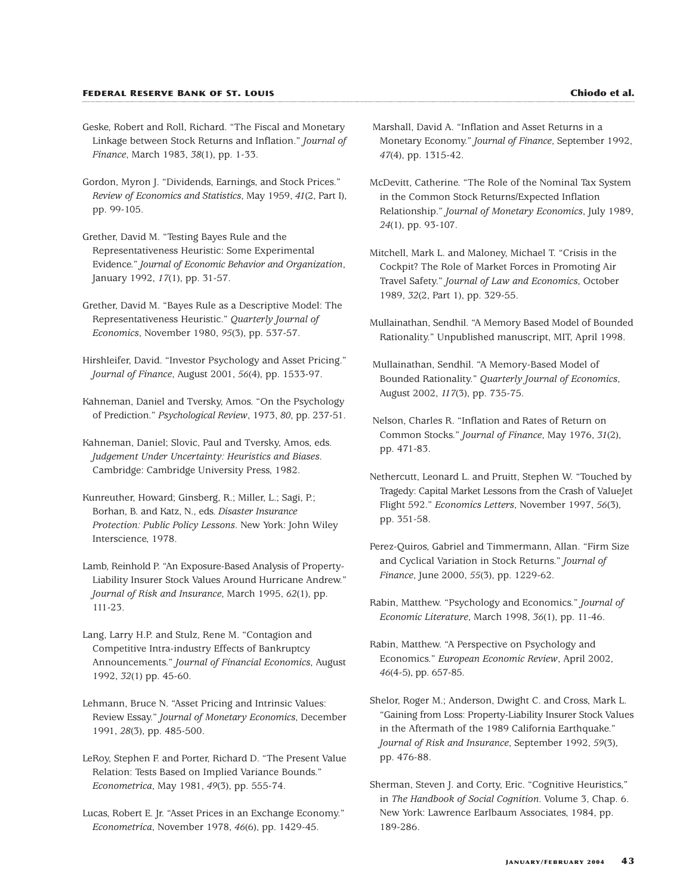- Geske, Robert and Roll, Richard. "The Fiscal and Monetary Linkage between Stock Returns and Inflation." *Journal of Finance*, March 1983, *38*(1), pp. 1-33.
- Gordon, Myron J. "Dividends, Earnings, and Stock Prices." *Review of Economics and Statistics*, May 1959, *41*(2, Part I), pp. 99-105.
- Grether, David M. "Testing Bayes Rule and the Representativeness Heuristic: Some Experimental Evidence." *Journal of Economic Behavior and Organization*, January 1992, *17*(1), pp. 31-57.
- Grether, David M. "Bayes Rule as a Descriptive Model: The Representativeness Heuristic." *Quarterly Journal of Economics*, November 1980, *95*(3), pp. 537-57.
- Hirshleifer, David. "Investor Psychology and Asset Pricing." *Journal of Finance*, August 2001, *56*(4), pp. 1533-97.
- Kahneman, Daniel and Tversky, Amos. "On the Psychology of Prediction." *Psychological Review*, 1973, *80*, pp. 237-51.
- Kahneman, Daniel; Slovic, Paul and Tversky, Amos, eds. *Judgement Under Uncertainty: Heuristics and Biases*. Cambridge: Cambridge University Press, 1982.
- Kunreuther, Howard; Ginsberg, R.; Miller, L.; Sagi, P.; Borhan, B. and Katz, N., eds. *Disaster Insurance Protection: Public Policy Lessons*. New York: John Wiley Interscience, 1978.
- Lamb, Reinhold P. "An Exposure-Based Analysis of Property-Liability Insurer Stock Values Around Hurricane Andrew." *Journal of Risk and Insurance*, March 1995, *62*(1), pp. 111-23.
- Lang, Larry H.P. and Stulz, Rene M. "Contagion and Competitive Intra-industry Effects of Bankruptcy Announcements." *Journal of Financial Economics*, August 1992, *32*(1) pp. 45-60.
- Lehmann, Bruce N. "Asset Pricing and Intrinsic Values: Review Essay." *Journal of Monetary Economics*, December 1991, *28*(3), pp. 485-500.
- LeRoy, Stephen F. and Porter, Richard D. "The Present Value Relation: Tests Based on Implied Variance Bounds." *Econometrica*, May 1981, *49*(3), pp. 555-74.
- Lucas, Robert E. Jr. "Asset Prices in an Exchange Economy." *Econometrica*, November 1978, *46*(6), pp. 1429-45.
- Marshall, David A. "Inflation and Asset Returns in a Monetary Economy." *Journal of Finance*, September 1992, *47*(4), pp. 1315-42.
- McDevitt, Catherine. "The Role of the Nominal Tax System in the Common Stock Returns/Expected Inflation Relationship." *Journal of Monetary Economics*, July 1989, *24*(1), pp. 93-107.
- Mitchell, Mark L. and Maloney, Michael T. "Crisis in the Cockpit? The Role of Market Forces in Promoting Air Travel Safety." *Journal of Law and Economics*, October 1989, *32*(2, Part 1), pp. 329-55.
- Mullainathan, Sendhil. "A Memory Based Model of Bounded Rationality." Unpublished manuscript, MIT, April 1998.
- Mullainathan, Sendhil. "A Memory-Based Model of Bounded Rationality." *Quarterly Journal of Economics*, August 2002, *117*(3), pp. 735-75.
- Nelson, Charles R. "Inflation and Rates of Return on Common Stocks." *Journal of Finance*, May 1976, *31*(2), pp. 471-83.
- Nethercutt, Leonard L. and Pruitt, Stephen W. "Touched by Tragedy: Capital Market Lessons from the Crash of ValueJet Flight 592." *Economics Letters*, November 1997, *56*(3), pp. 351-58.
- Perez-Quiros, Gabriel and Timmermann, Allan. "Firm Size and Cyclical Variation in Stock Returns." *Journal of Finance*, June 2000, *55*(3), pp. 1229-62.
- Rabin, Matthew. "Psychology and Economics." *Journal of Economic Literature*, March 1998, *36*(1), pp. 11-46.
- Rabin, Matthew. "A Perspective on Psychology and Economics." *European Economic Review*, April 2002, *46*(4-5), pp. 657-85.
- Shelor, Roger M.; Anderson, Dwight C. and Cross, Mark L. "Gaining from Loss: Property-Liability Insurer Stock Values in the Aftermath of the 1989 California Earthquake." *Journal of Risk and Insurance*, September 1992, *59*(3), pp. 476-88.
- Sherman, Steven J. and Corty, Eric. "Cognitive Heuristics," in *The Handbook of Social Cognition*. Volume 3, Chap. 6. New York: Lawrence Earlbaum Associates, 1984, pp. 189-286.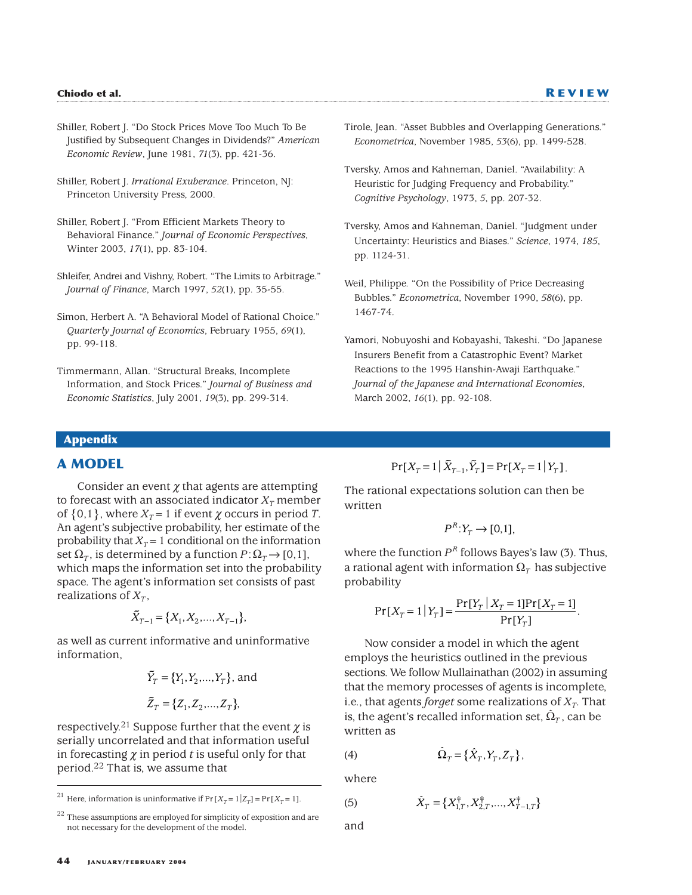- Shiller, Robert J. "Do Stock Prices Move Too Much To Be Justified by Subsequent Changes in Dividends?" *American Economic Review*, June 1981, *71*(3), pp. 421-36.
- Shiller, Robert J. *Irrational Exuberance*. Princeton, NJ: Princeton University Press, 2000.
- Shiller, Robert J. "From Efficient Markets Theory to Behavioral Finance." *Journal of Economic Perspectives*, Winter 2003, *17*(1), pp. 83-104.
- Shleifer, Andrei and Vishny, Robert. "The Limits to Arbitrage." *Journal of Finance*, March 1997, *52*(1), pp. 35-55.
- Simon, Herbert A. "A Behavioral Model of Rational Choice." *Quarterly Journal of Economics*, February 1955, *69*(1), pp. 99-118.
- Timmermann, Allan. "Structural Breaks, Incomplete Information, and Stock Prices." *Journal of Business and Economic Statistics*, July 2001, *19*(3), pp. 299-314.
- Tirole, Jean. "Asset Bubbles and Overlapping Generations." *Econometrica*, November 1985, *53*(6), pp. 1499-528.
- Tversky, Amos and Kahneman, Daniel. "Availability: A Heuristic for Judging Frequency and Probability." *Cognitive Psychology*, 1973, *5*, pp. 207-32.
- Tversky, Amos and Kahneman, Daniel. "Judgment under Uncertainty: Heuristics and Biases." *Science*, 1974, *185*, pp. 1124-31.
- Weil, Philippe. "On the Possibility of Price Decreasing Bubbles." *Econometrica*, November 1990, *58*(6), pp. 1467-74.
- Yamori, Nobuyoshi and Kobayashi, Takeshi. "Do Japanese Insurers Benefit from a Catastrophic Event? Market Reactions to the 1995 Hanshin-Awaji Earthquake." *Journal of the Japanese and International Economies*, March 2002, *16*(1), pp. 92-108.

# **Appendix**

# **A MODEL**

Consider an event  $\gamma$  that agents are attempting to forecast with an associated indicator  $X_T$  member of  $\{0,1\}$ , where  $X_T = 1$  if event  $\chi$  occurs in period *T*. An agent's subjective probability, her estimate of the probability that  $X_T = 1$  conditional on the information set  $\Omega_T$ , is determined by a function  $P:\Omega_T\to[0,1]$ , which maps the information set into the probability space. The agent's information set consists of past realizations of  $X_T$ ,

$$
\tilde{X}_{T-1} = \{X_1, X_2, \dots, X_{T-1}\},\
$$

as well as current informative and uninformative information,

$$
\tilde{Y}_T = \{Y_1, Y_2, ..., Y_T\}
$$
, and  
\n $\tilde{Z}_T = \{Z_1, Z_2, ..., Z_T\}$ ,

respectively.<sup>21</sup> Suppose further that the event  $\chi$  is serially uncorrelated and that information useful in forecasting  $\chi$  in period *t* is useful only for that period.22 That is, we assume that

$$
Pr[X_T = 1 | \tilde{X}_{T-1}, \tilde{Y}_T] = Pr[X_T = 1 | Y_T].
$$

The rational expectations solution can then be written

$$
P^{R}:Y_{T}\to[0,1],
$$

where the function *P<sup>R</sup>* follows Bayes's law (3). Thus, a rational agent with information  $\Omega$ <sub>*T*</sub> has subjective probability

$$
Pr[X_T = 1 | Y_T] = \frac{Pr[Y_T | X_T = 1] Pr[X_T = 1]}{Pr[Y_T]}.
$$

Now consider a model in which the agent employs the heuristics outlined in the previous sections. We follow Mullainathan (2002) in assuming that the memory processes of agents is incomplete, i.e., that agents *forget* some realizations of  $X_T$ . That is, the agent's recalled information set,  $\hat{\Omega}_T$ , can be written as

$$
(4) \hspace{3.1em} \hat{\Omega}_T = \{ \hat{X}_T, Y_T, Z_T \},
$$

where

$$
\hat{X}_T = \{X_{1,T}^\dagger, X_{2,T}^\dagger, \ldots, X_{T-1,T}^\dagger\}
$$

and

(5)

<sup>&</sup>lt;sup>21</sup> Here, information is uninformative if  $Pr[X_T = 1|Z_T] = Pr[X_T = 1]$ .

These assumptions are employed for simplicity of exposition and are not necessary for the development of the model.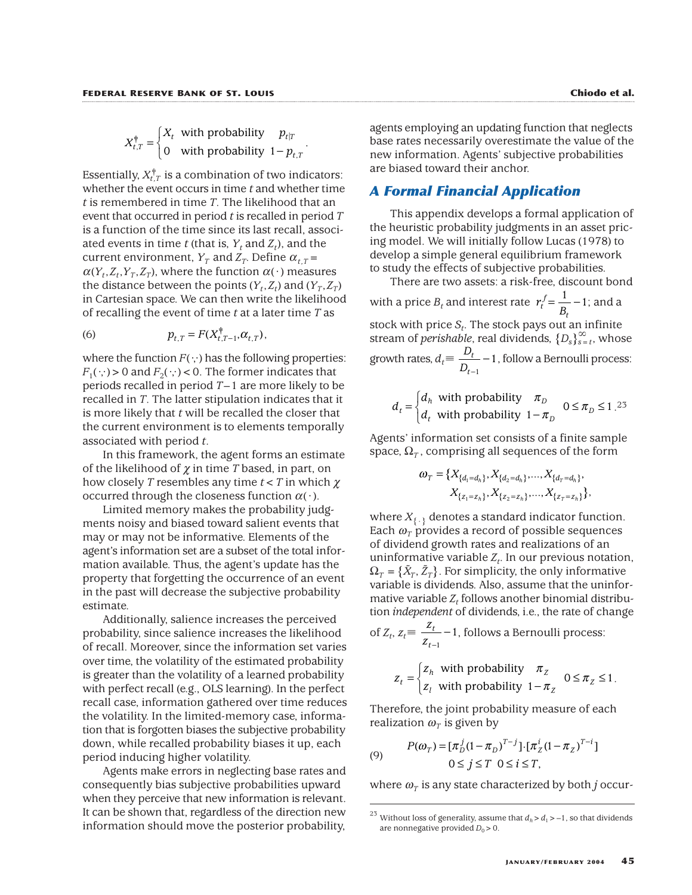$$
X_{t,T}^{\dagger} = \begin{cases} X_t & \text{with probability} \\ 0 & \text{with probability} \quad 1 - p_{t,T} \end{cases}.
$$

Essentially,  $X_{t,T}^{\dagger}$  is a combination of two indicators: whether the event occurs in time *t* and whether time *t* is remembered in time *T*. The likelihood that an event that occurred in period *t* is recalled in period *T* is a function of the time since its last recall, associated events in time *t* (that is,  $Y_t$  and  $Z_t$ ), and the current environment,  $Y_T$  and  $Z_T$ . Define  $\alpha_{LT}$  =  $\alpha(Y_t, Z_t, Y_T, Z_T)$ , where the function  $\alpha(\cdot)$  measures the distance between the points  $(Y_t, Z_t)$  and  $(Y_T, Z_T)$ in Cartesian space. We can then write the likelihood of recalling the event of time *t* at a later time *T* as

(6) 
$$
p_{t,T} = F(X_{t,T-1}^{\dagger}, \alpha_{t,T}),
$$

where the function  $F(\cdot;\cdot)$  has the following properties:  $F_1(\cdot;\cdot) > 0$  and  $F_2(\cdot;\cdot) < 0$ . The former indicates that periods recalled in period *T*–1 are more likely to be recalled in *T*. The latter stipulation indicates that it is more likely that *t* will be recalled the closer that the current environment is to elements temporally associated with period *t*.

In this framework, the agent forms an estimate of the likelihood of  $\chi$  in time *T* based, in part, on how closely *T* resembles any time *t*<*T* in which χ occurred through the closeness function  $\alpha(\cdot)$ .

Limited memory makes the probability judgments noisy and biased toward salient events that may or may not be informative. Elements of the agent's information set are a subset of the total information available. Thus, the agent's update has the property that forgetting the occurrence of an event in the past will decrease the subjective probability estimate.

Additionally, salience increases the perceived probability, since salience increases the likelihood of recall. Moreover, since the information set varies over time, the volatility of the estimated probability is greater than the volatility of a learned probability with perfect recall (e.g., OLS learning). In the perfect recall case, information gathered over time reduces the volatility. In the limited-memory case, information that is forgotten biases the subjective probability down, while recalled probability biases it up, each period inducing higher volatility.

Agents make errors in neglecting base rates and consequently bias subjective probabilities upward when they perceive that new information is relevant. It can be shown that, regardless of the direction new information should move the posterior probability,

agents employing an updating function that neglects base rates necessarily overestimate the value of the new information. Agents' subjective probabilities are biased toward their anchor.

# *A Formal Financial Application*

This appendix develops a formal application of the heuristic probability judgments in an asset pricing model. We will initially follow Lucas (1978) to develop a simple general equilibrium framework to study the effects of subjective probabilities.

There are two assets: a risk-free, discount bond with a price  $B_t$  and interest rate  $r_t^f = \frac{1}{B_t} - 1$ ; and a stock with price *St*. The stock pays out an infinite stream of *perishable*, real dividends, {*Ds*}` *<sup>s</sup>*=*t*, whose growth rates,  $d_t \equiv \frac{D_t}{D} - 1$ , follow a Bernoulli process: *D t t* − − 1 1 *t*  $=\frac{1}{2} - 1$ 

$$
d_t = \begin{cases} d_h & \text{with probability} \\ d_t & \text{with probability} \\ 1 - \pi_D & \text{otherwise} \end{cases}
$$

Agents' information set consists of a finite sample space,  $\Omega_T$ , comprising all sequences of the form

$$
\omega_{T} = \{X_{\{d_1 = d_h\}}, X_{\{d_2 = d_h\}}, \dots, X_{\{d_T = d_h\}},
$$
  

$$
X_{\{z_1 = z_h\}}, X_{\{z_2 = z_h\}}, \dots, X_{\{z_T = z_h\}}\},
$$

where  $X_{\{\cdot\}}$  denotes a standard indicator function. Each  $\omega_{\tau}$  provides a record of possible sequences of dividend growth rates and realizations of an uninformative variable  $Z_t$ . In our previous notation,  $\Omega_T$  =  $\{\tilde{X}_T, \tilde{Z}_T\}$ . For simplicity, the only informative variable is dividends. Also, assume that the uninformative variable  $Z_t$  follows another binomial distribution *independent* of dividends, i.e., the rate of change

of 
$$
Z_t
$$
,  $z_t \equiv \frac{Z_t}{Z_{t-1}} - 1$ , follows a Bernoulli process:

$$
z_t = \begin{cases} z_h & \text{with probability} \\ z_l & \text{with probability} \quad 1 - \pi_z \quad 0 \le \pi_z \le 1. \end{cases}
$$

Therefore, the joint probability measure of each realization  $\omega_{\tau}$  is given by

(9) 
$$
P(\omega_T) = [\pi_D^j (1 - \pi_D)^{T-j}] \cdot [\pi_Z^i (1 - \pi_Z)^{T-i}]
$$

$$
0 \le j \le T \quad 0 \le i \le T,
$$

where  $\omega_T$  is any state characterized by both *j* occur-

<sup>&</sup>lt;sup>23</sup> Without loss of generality, assume that  $d_h > d_1 > -1$ , so that dividends are nonnegative provided  $D_0 > 0$ .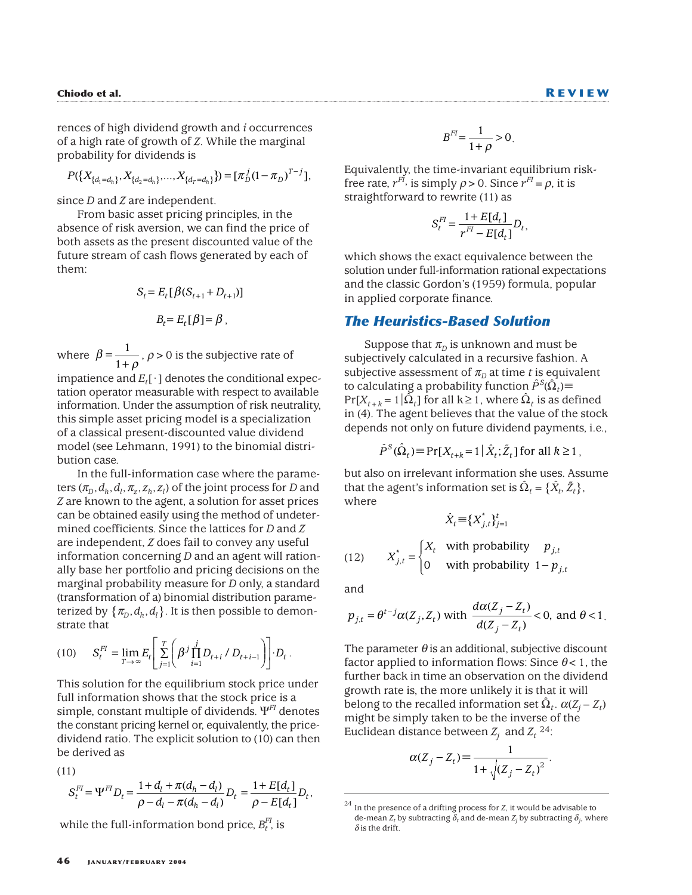rences of high dividend growth and *i* occurrences of a high rate of growth of *Z*. While the marginal probability for dividends is

$$
P(\lbrace X_{\lbrace d_1=d_h \rbrace}, X_{\lbrace d_2=d_h \rbrace}, \ldots, X_{\lbrace d_T=d_h \rbrace} \rbrace) = [\pi_D^j (1 - \pi_D)^{T-j}],
$$

since *D* and *Z* are independent.

From basic asset pricing principles, in the absence of risk aversion, we can find the price of both assets as the present discounted value of the future stream of cash flows generated by each of them:

$$
S_t = E_t [\beta (S_{t+1} + D_{t+1})]
$$
  

$$
B_t = E_t [\beta] = \beta ,
$$

where  $\beta = \frac{1}{1+\rho}$ ,  $\rho > 0$  is the subjective rate of 1

impatience and  $E_t[\cdot]$  denotes the conditional expectation operator measurable with respect to available information. Under the assumption of risk neutrality, this simple asset pricing model is a specialization of a classical present-discounted value dividend model (see Lehmann, 1991) to the binomial distribution case.

In the full-information case where the parameters  $(\pi_D, d_h, d_l, \pi_z, z_h, z_l)$  of the joint process for *D* and *Z* are known to the agent, a solution for asset prices can be obtained easily using the method of undetermined coefficients. Since the lattices for *D* and *Z* are independent, *Z* does fail to convey any useful information concerning *D* and an agent will rationally base her portfolio and pricing decisions on the marginal probability measure for *D* only, a standard (transformation of a) binomial distribution parameterized by  $\{\pi_D, d_h, d_l\}$ . It is then possible to demonstrate that

(10) 
$$
S_t^{FI} = \lim_{T \to \infty} E_t \left[ \sum_{j=1}^T \left( \beta^j \prod_{i=1}^j D_{t+i} / D_{t+i-1} \right) \right] \cdot D_t.
$$

This solution for the equilibrium stock price under full information shows that the stock price is a simple, constant multiple of dividends. Ψ*FI* denotes the constant pricing kernel or, equivalently, the pricedividend ratio. The explicit solution to (10) can then be derived as

(11)

$$
S_t^{FI} = \Psi^{FI} D_t = \frac{1 + d_t + \pi (d_h - d_t)}{\rho - d_l - \pi (d_h - d_l)} D_t = \frac{1 + E[d_t]}{\rho - E[d_t]} D_t,
$$

while the full-information bond price,  $B_t^{FI}$  is

$$
B^{FI} = \frac{1}{1+\rho} > 0.
$$

Equivalently, the time-invariant equilibrium riskfree rate,  $r^{FI}$ , is simply  $\rho > 0$ . Since  $r^{FI} = \rho$ , it is straightforward to rewrite (11) as

$$
S_t^{FI} = \frac{1 + E[d_t]}{r^{FI} - E[d_t]} D_t,
$$

which shows the exact equivalence between the solution under full-information rational expectations and the classic Gordon's (1959) formula, popular in applied corporate finance.

### *The Heuristics-Based Solution*

Suppose that  $\pi$ <sup>b</sup> is unknown and must be subjectively calculated in a recursive fashion. A subjective assessment of  $\pi$ <sup>*n*</sup> at time *t* is equivalent to calculating a probability function  $\hat{P}^{\mathcal{S}}(\hat{\Omega}_t)\!\equiv\!1$  $Pr[X_{t+k} = 1|\hat{\Omega}_t]$  for all  $k \ge 1$ , where  $\hat{\Omega}_t$  is as defined in (4). The agent believes that the value of the stock depends not only on future dividend payments, i.e.,

$$
\hat{P}^S(\hat{\Omega}_t) \equiv \Pr[X_{t+k} = 1 \,|\, \hat{X}_t; \tilde{Z}_t] \text{ for all } k \ge 1,
$$

but also on irrelevant information she uses. Assume that the agent's information set is  $\hat{\Omega}_t = \{ \hat{X}_t, \tilde{Z}_t \},$ where

$$
\hat{X}_t = \{X_{j,t}^*\}_{j=1}^t
$$

(12) 
$$
X_{j,t}^* = \begin{cases} X_t & \text{with probability} & p_{j,t} \\ 0 & \text{with probability} & 1 - p_{j,t} \end{cases}
$$

and

$$
p_{j,t} = \theta^{t-j} \alpha(Z_j, Z_t) \text{ with } \frac{d\alpha(Z_j - Z_t)}{d(Z_j - Z_t)} < 0, \text{ and } \theta < 1.
$$

The parameter  $\theta$  is an additional, subjective discount factor applied to information flows: Since  $\theta$  < 1, the further back in time an observation on the dividend growth rate is, the more unlikely it is that it will belong to the recalled information set  $\Omega_t$ .  $\alpha(Z_i - Z_t)$ might be simply taken to be the inverse of the Euclidean distance between  $Z_i$  and  $Z_t$  <sup>24</sup>:

$$
\alpha(Z_j - Z_t) \equiv \frac{1}{1 + \sqrt{(Z_j - Z_t)^2}}.
$$

<sup>24</sup> In the presence of a drifting process for *Z*, it would be advisable to de-mean  $Z_t$  by subtracting  $\delta_t$  and de-mean  $Z_j$  by subtracting  $\delta_j$ , where  $\delta$  is the drift.